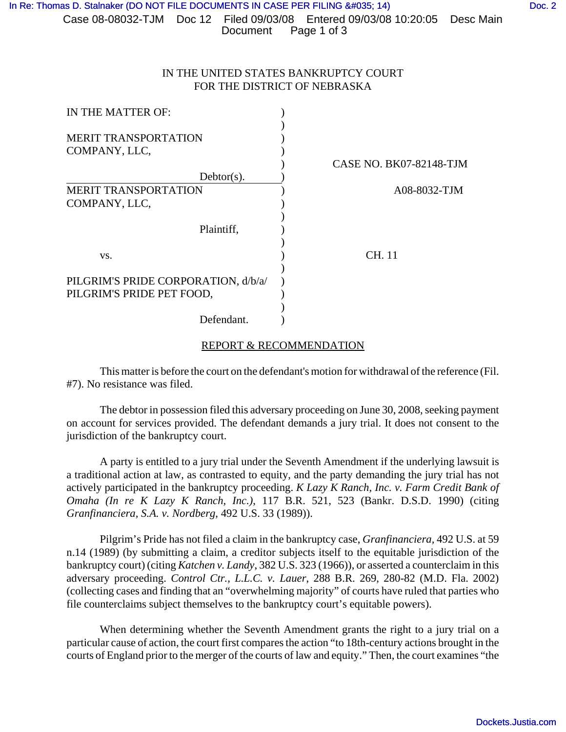## IN THE UNITED STATES BANKRUPTCY COURT FOR THE DISTRICT OF NEBRASKA

| IN THE MATTER OF:                                                |                                |
|------------------------------------------------------------------|--------------------------------|
| <b>MERIT TRANSPORTATION</b>                                      |                                |
| COMPANY, LLC,                                                    |                                |
|                                                                  | <b>CASE NO. BK07-82148-TJM</b> |
| $Dektor(s)$ .                                                    |                                |
| <b>MERIT TRANSPORTATION</b>                                      | A08-8032-TJM                   |
| COMPANY, LLC,                                                    |                                |
| Plaintiff,                                                       |                                |
| VS.                                                              | CH. 11                         |
| PILGRIM'S PRIDE CORPORATION, d/b/a/<br>PILGRIM'S PRIDE PET FOOD, |                                |
| Defendant.                                                       |                                |

## REPORT & RECOMMENDATION

This matter is before the court on the defendant's motion for withdrawal of the reference (Fil. #7). No resistance was filed.

The debtor in possession filed this adversary proceeding on June 30, 2008, seeking payment on account for services provided. The defendant demands a jury trial. It does not consent to the jurisdiction of the bankruptcy court.

A party is entitled to a jury trial under the Seventh Amendment if the underlying lawsuit is a traditional action at law, as contrasted to equity, and the party demanding the jury trial has not actively participated in the bankruptcy proceeding. *K Lazy K Ranch, Inc. v. Farm Credit Bank of Omaha (In re K Lazy K Ranch, Inc.)*, 117 B.R. 521, 523 (Bankr. D.S.D. 1990) (citing *Granfinanciera, S.A. v. Nordberg*, 492 U.S. 33 (1989)).

Pilgrim's Pride has not filed a claim in the bankruptcy case, *Granfinanciera,* 492 U.S. at 59 n.14 (1989) (by submitting a claim, a creditor subjects itself to the equitable jurisdiction of the bankruptcy court) (citing *Katchen v. Landy*, 382 U.S. 323 (1966)), or asserted a counterclaim in this adversary proceeding. *Control Ctr., L.L.C. v. Lauer*, 288 B.R. 269, 280-82 (M.D. Fla. 2002) (collecting cases and finding that an "overwhelming majority" of courts have ruled that parties who file counterclaims subject themselves to the bankruptcy court's equitable powers).

When determining whether the Seventh Amendment grants the right to a jury trial on a particular cause of action, the court first compares the action "to 18th-century actions brought in the courts of England prior to the merger of the courts of law and equity." Then, the court examines "the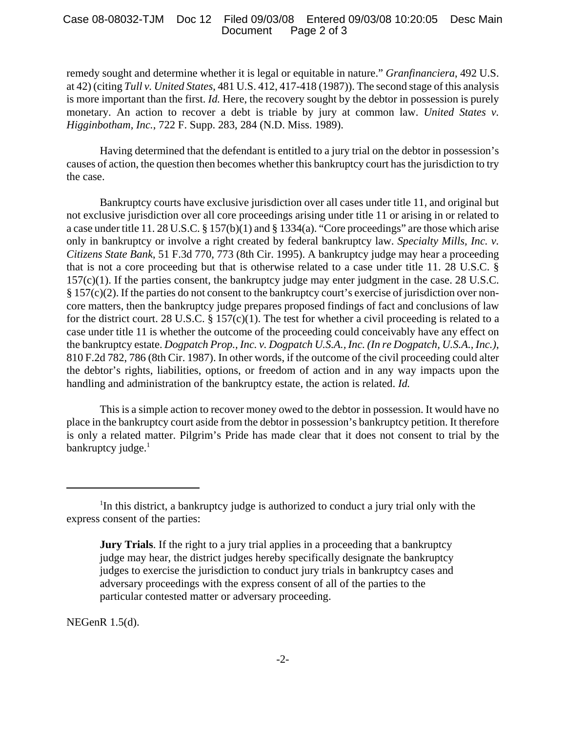## Case 08-08032-TJM Doc 12 Filed 09/03/08 Entered 09/03/08 10:20:05 Desc Main Page 2 of 3

remedy sought and determine whether it is legal or equitable in nature." *Granfinanciera*, 492 U.S. at 42) (citing *Tull v. United States*, 481 U.S. 412, 417-418 (1987)). The second stage of this analysis is more important than the first. *Id.* Here, the recovery sought by the debtor in possession is purely monetary. An action to recover a debt is triable by jury at common law. *United States v. Higginbotham, Inc.*, 722 F. Supp. 283, 284 (N.D. Miss. 1989).

Having determined that the defendant is entitled to a jury trial on the debtor in possession's causes of action, the question then becomes whether this bankruptcy court has the jurisdiction to try the case.

Bankruptcy courts have exclusive jurisdiction over all cases under title 11, and original but not exclusive jurisdiction over all core proceedings arising under title 11 or arising in or related to a case under title 11. 28 U.S.C. § 157(b)(1) and § 1334(a). "Core proceedings" are those which arise only in bankruptcy or involve a right created by federal bankruptcy law. *Specialty Mills, Inc. v. Citizens State Bank*, 51 F.3d 770, 773 (8th Cir. 1995). A bankruptcy judge may hear a proceeding that is not a core proceeding but that is otherwise related to a case under title 11. 28 U.S.C. §  $157(c)(1)$ . If the parties consent, the bankruptcy judge may enter judgment in the case. 28 U.S.C. § 157(c)(2). If the parties do not consent to the bankruptcy court's exercise of jurisdiction over noncore matters, then the bankruptcy judge prepares proposed findings of fact and conclusions of law for the district court. 28 U.S.C.  $\S 157(c)(1)$ . The test for whether a civil proceeding is related to a case under title 11 is whether the outcome of the proceeding could conceivably have any effect on the bankruptcy estate. *Dogpatch Prop., Inc. v. Dogpatch U.S.A., Inc. (In re Dogpatch, U.S.A., Inc.)*, 810 F.2d 782, 786 (8th Cir. 1987). In other words, if the outcome of the civil proceeding could alter the debtor's rights, liabilities, options, or freedom of action and in any way impacts upon the handling and administration of the bankruptcy estate, the action is related. *Id.*

This is a simple action to recover money owed to the debtor in possession. It would have no place in the bankruptcy court aside from the debtor in possession's bankruptcy petition. It therefore is only a related matter. Pilgrim's Pride has made clear that it does not consent to trial by the bankruptcy judge. $<sup>1</sup>$ </sup>

NEGenR 1.5(d).

<sup>&</sup>lt;sup>1</sup>In this district, a bankruptcy judge is authorized to conduct a jury trial only with the express consent of the parties:

**Jury Trials**. If the right to a jury trial applies in a proceeding that a bankruptcy judge may hear, the district judges hereby specifically designate the bankruptcy judges to exercise the jurisdiction to conduct jury trials in bankruptcy cases and adversary proceedings with the express consent of all of the parties to the particular contested matter or adversary proceeding.